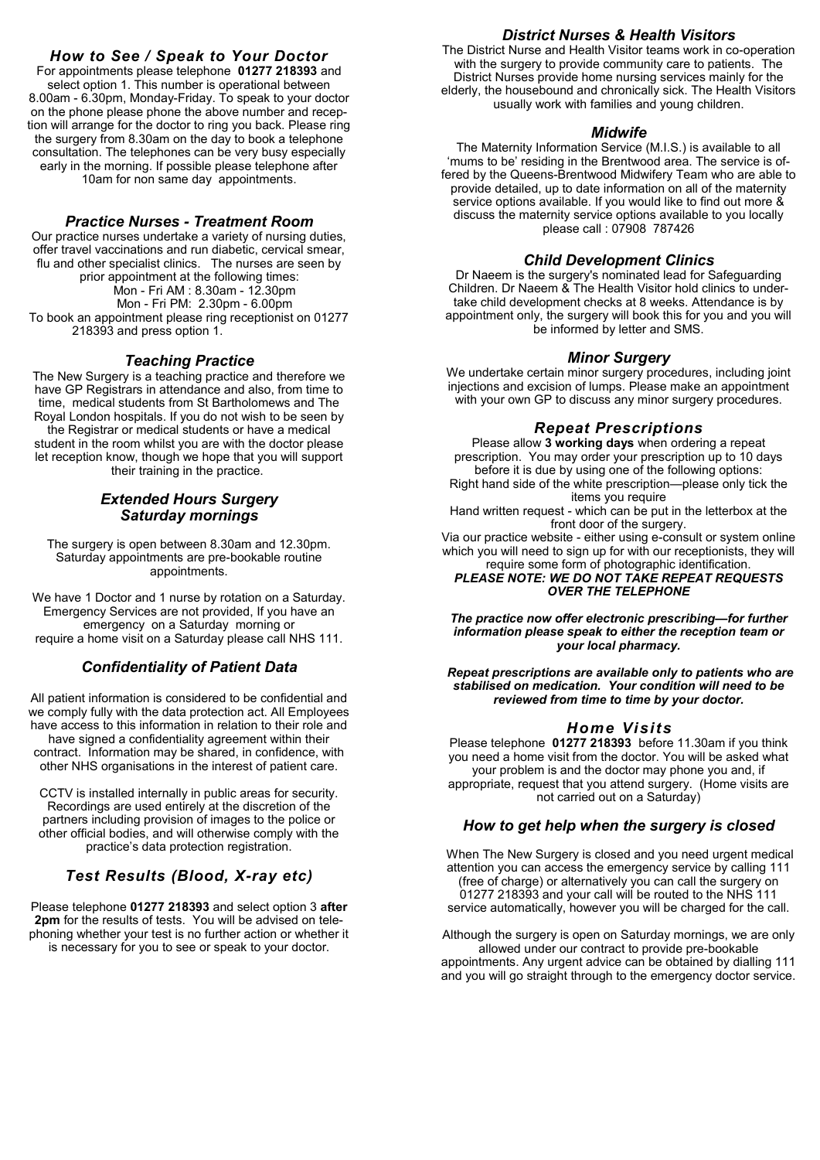### *How to See / Speak to Your Doctor*

For appointments please telephone **01277 218393** and select option 1. This number is operational between 8.00am - 6.30pm, Monday-Friday. To speak to your doctor on the phone please phone the above number and reception will arrange for the doctor to ring you back. Please ring the surgery from 8.30am on the day to book a telephone consultation. The telephones can be very busy especially early in the morning. If possible please telephone after 10am for non same day appointments.

#### *Practice Nurses - Treatment Room*

Our practice nurses undertake a variety of nursing duties, offer travel vaccinations and run diabetic, cervical smear, flu and other specialist clinics. The nurses are seen by prior appointment at the following times: Mon - Fri AM : 8.30am - 12.30pm Mon - Fri PM: 2.30pm - 6.00pm To book an appointment please ring receptionist on 01277 218393 and press option 1.

#### *Teaching Practice*

The New Surgery is a teaching practice and therefore we have GP Registrars in attendance and also, from time to time, medical students from St Bartholomews and The Royal London hospitals. If you do not wish to be seen by the Registrar or medical students or have a medical student in the room whilst you are with the doctor please let reception know, though we hope that you will support their training in the practice.

#### *Extended Hours Surgery Saturday mornings*

The surgery is open between 8.30am and 12.30pm. Saturday appointments are pre-bookable routine appointments.

We have 1 Doctor and 1 nurse by rotation on a Saturday. Emergency Services are not provided, If you have an emergency on a Saturday morning or require a home visit on a Saturday please call NHS 111.

#### *Confidentiality of Patient Data*

All patient information is considered to be confidential and we comply fully with the data protection act. All Employees have access to this information in relation to their role and have signed a confidentiality agreement within their contract. Information may be shared, in confidence, with other NHS organisations in the interest of patient care.

CCTV is installed internally in public areas for security. Recordings are used entirely at the discretion of the partners including provision of images to the police or other official bodies, and will otherwise comply with the practice's data protection registration.

### *Test Results (Blood, X-ray etc)*

Please telephone **01277 218393** and select option 3 **after 2pm** for the results of tests. You will be advised on telephoning whether your test is no further action or whether it is necessary for you to see or speak to your doctor.

#### *District Nurses & Health Visitors*

The District Nurse and Health Visitor teams work in co-operation with the surgery to provide community care to patients. The District Nurses provide home nursing services mainly for the elderly, the housebound and chronically sick. The Health Visitors usually work with families and young children.

#### *Midwife*

The Maternity Information Service (M.I.S.) is available to all 'mums to be' residing in the Brentwood area. The service is offered by the Queens-Brentwood Midwifery Team who are able to provide detailed, up to date information on all of the maternity service options available. If you would like to find out more & discuss the maternity service options available to you locally please call : 07908 787426

#### *Child Development Clinics*

Dr Naeem is the surgery's nominated lead for Safeguarding Children. Dr Naeem & The Health Visitor hold clinics to undertake child development checks at 8 weeks. Attendance is by appointment only, the surgery will book this for you and you will be informed by letter and SMS.

#### *Minor Surgery*

We undertake certain minor surgery procedures, including joint injections and excision of lumps. Please make an appointment with your own GP to discuss any minor surgery procedures.

#### *Repeat Prescriptions*

Please allow **3 working days** when ordering a repeat prescription. You may order your prescription up to 10 days before it is due by using one of the following options: Right hand side of the white prescription—please only tick the items you require Hand written request - which can be put in the letterbox at the

front door of the surgery.

Via our practice website - either using e-consult or system online which you will need to sign up for with our receptionists, they will require some form of photographic identification. *PLEASE NOTE: WE DO NOT TAKE REPEAT REQUESTS* 

*OVER THE TELEPHONE*

*The practice now offer electronic prescribing—for further information please speak to either the reception team or your local pharmacy.* 

*Repeat prescriptions are available only to patients who are stabilised on medication. Your condition will need to be reviewed from time to time by your doctor.*

#### *Home Visits*

Please telephone **01277 218393** before 11.30am if you think you need a home visit from the doctor. You will be asked what your problem is and the doctor may phone you and, if appropriate, request that you attend surgery. (Home visits are not carried out on a Saturday)

#### *How to get help when the surgery is closed*

When The New Surgery is closed and you need urgent medical attention you can access the emergency service by calling 111 (free of charge) or alternatively you can call the surgery on 01277 218393 and your call will be routed to the NHS 111 service automatically, however you will be charged for the call.

Although the surgery is open on Saturday mornings, we are only allowed under our contract to provide pre-bookable appointments. Any urgent advice can be obtained by dialling 111 and you will go straight through to the emergency doctor service.